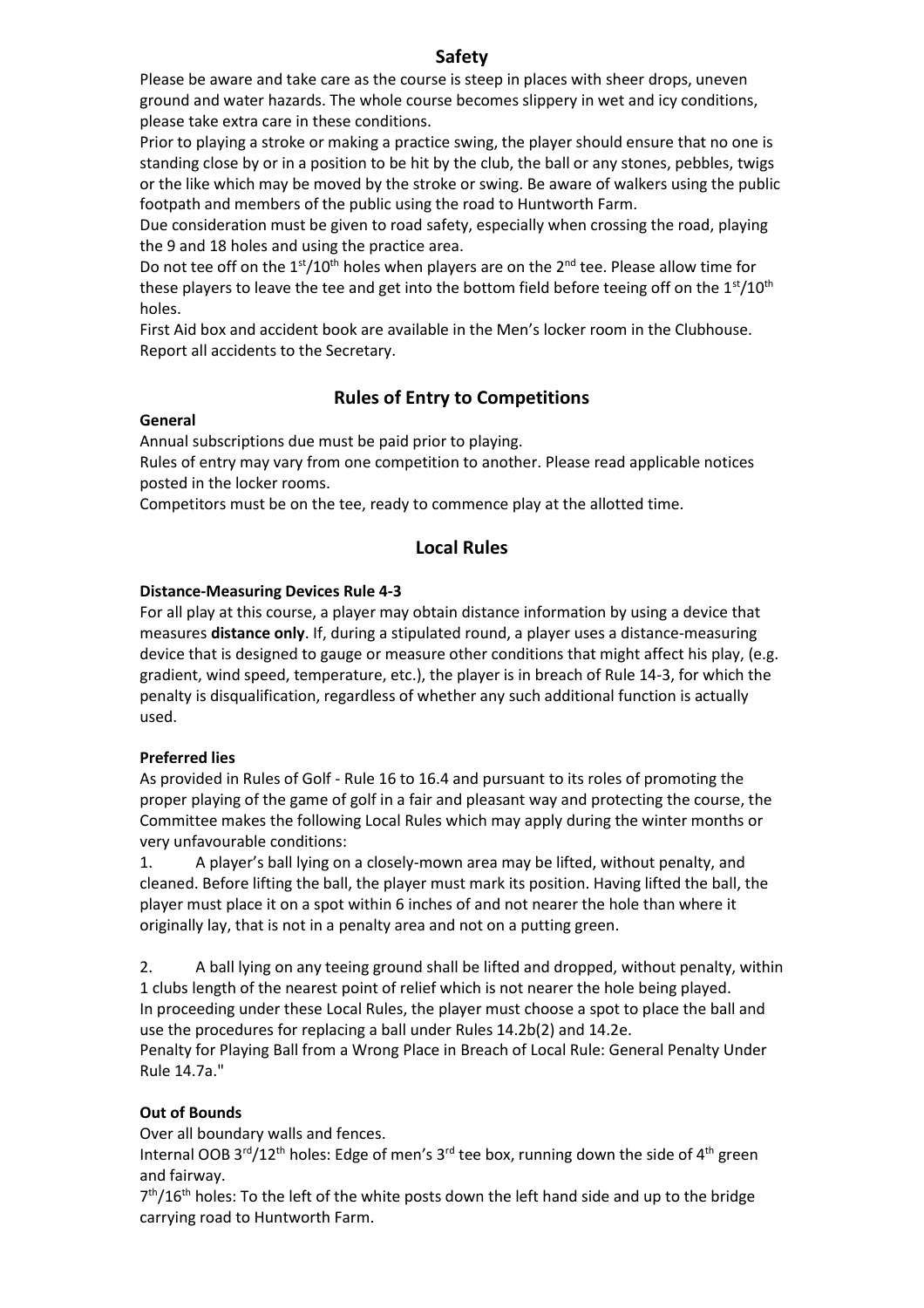# **Safety**

Please be aware and take care as the course is steep in places with sheer drops, uneven ground and water hazards. The whole course becomes slippery in wet and icy conditions, please take extra care in these conditions.

Prior to playing a stroke or making a practice swing, the player should ensure that no one is standing close by or in a position to be hit by the club, the ball or any stones, pebbles, twigs or the like which may be moved by the stroke or swing. Be aware of walkers using the public footpath and members of the public using the road to Huntworth Farm.

Due consideration must be given to road safety, especially when crossing the road, playing the 9 and 18 holes and using the practice area.

Do not tee off on the  $1<sup>st</sup>/10<sup>th</sup>$  holes when players are on the  $2<sup>nd</sup>$  tee. Please allow time for these players to leave the tee and get into the bottom field before teeing off on the  $1<sup>st</sup>/10<sup>th</sup>$ holes.

First Aid box and accident book are available in the Men's locker room in the Clubhouse. Report all accidents to the Secretary.

# **Rules of Entry to Competitions**

# **General**

Annual subscriptions due must be paid prior to playing.

Rules of entry may vary from one competition to another. Please read applicable notices posted in the locker rooms.

Competitors must be on the tee, ready to commence play at the allotted time.

# **Local Rules**

# **Distance-Measuring Devices Rule 4-3**

For all play at this course, a player may obtain distance information by using a device that measures **distance only**. If, during a stipulated round, a player uses a distance-measuring device that is designed to gauge or measure other conditions that might affect his play, (e.g. gradient, wind speed, temperature, etc.), the player is in breach of Rule 14-3, for which the penalty is disqualification, regardless of whether any such additional function is actually used.

# **Preferred lies**

As provided in Rules of Golf - Rule 16 to 16.4 and pursuant to its roles of promoting the proper playing of the game of golf in a fair and pleasant way and protecting the course, the Committee makes the following Local Rules which may apply during the winter months or very unfavourable conditions:

1. A player's ball lying on a closely-mown area may be lifted, without penalty, and cleaned. Before lifting the ball, the player must mark its position. Having lifted the ball, the player must place it on a spot within 6 inches of and not nearer the hole than where it originally lay, that is not in a penalty area and not on a putting green.

2. A ball lying on any teeing ground shall be lifted and dropped, without penalty, within 1 clubs length of the nearest point of relief which is not nearer the hole being played. In proceeding under these Local Rules, the player must choose a spot to place the ball and use the procedures for replacing a ball under [Rules 14.2b\(2\)](https://www.randa.org/en/rog/2019/rules/the-rules-of-golf/rule-14#14-2b) and [14.2e.](https://www.randa.org/en/rog/2019/rules/the-rules-of-golf/rule-14#14-2e)

Penalty for Playing Ball from a Wrong Place in Breach of Local Rule: General Penalty Under [Rule 14.7a.](https://www.randa.org/en/rog/2019/rules/the-rules-of-golf/rule-14#14-7a)"

# **Out of Bounds**

Over all boundary walls and fences.

Internal OOB 3<sup>rd</sup>/12<sup>th</sup> holes: Edge of men's 3<sup>rd</sup> tee box, running down the side of 4<sup>th</sup> green and fairway.

 $7<sup>th</sup>/16<sup>th</sup>$  holes: To the left of the white posts down the left hand side and up to the bridge carrying road to Huntworth Farm.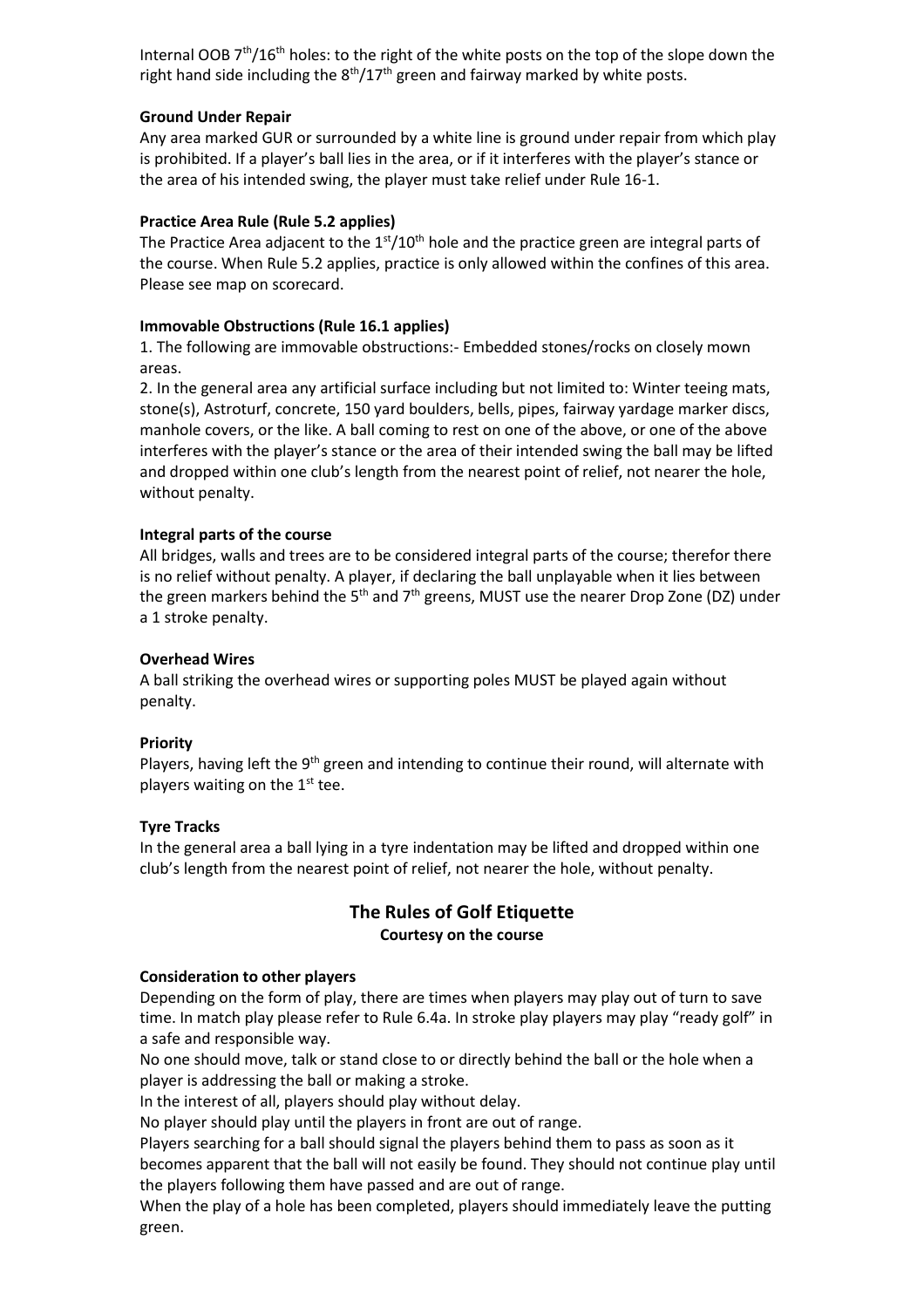Internal OOB 7<sup>th</sup>/16<sup>th</sup> holes: to the right of the white posts on the top of the slope down the right hand side including the  $8<sup>th</sup>/17<sup>th</sup>$  green and fairway marked by white posts.

### **Ground Under Repair**

Any area marked GUR or surrounded by a white line is ground under repair from which play is prohibited. If a player's ball lies in the area, or if it interferes with the player's stance or the area of his intended swing, the player must take relief under Rule 16-1.

# **Practice Area Rule (Rule 5.2 applies)**

The Practice Area adjacent to the  $1<sup>st</sup>/10<sup>th</sup>$  hole and the practice green are integral parts of the course. When Rule 5.2 applies, practice is only allowed within the confines of this area. Please see map on scorecard.

# **Immovable Obstructions (Rule 16.1 applies)**

1. The following are immovable obstructions:- Embedded stones/rocks on closely mown areas.

2. In the general area any artificial surface including but not limited to: Winter teeing mats, stone(s), Astroturf, concrete, 150 yard boulders, bells, pipes, fairway yardage marker discs, manhole covers, or the like. A ball coming to rest on one of the above, or one of the above interferes with the player's stance or the area of their intended swing the ball may be lifted and dropped within one club's length from the nearest point of relief, not nearer the hole, without penalty.

# **Integral parts of the course**

All bridges, walls and trees are to be considered integral parts of the course; therefor there is no relief without penalty. A player, if declaring the ball unplayable when it lies between the green markers behind the 5<sup>th</sup> and 7<sup>th</sup> greens, MUST use the nearer Drop Zone (DZ) under a 1 stroke penalty.

### **Overhead Wires**

A ball striking the overhead wires or supporting poles MUST be played again without penalty.

#### **Priority**

Players, having left the 9<sup>th</sup> green and intending to continue their round, will alternate with players waiting on the  $1<sup>st</sup>$  tee.

#### **Tyre Tracks**

In the general area a ball lying in a tyre indentation may be lifted and dropped within one club's length from the nearest point of relief, not nearer the hole, without penalty.

# **The Rules of Golf Etiquette Courtesy on the course**

#### **Consideration to other players**

Depending on the form of play, there are times when players may play out of turn to save time. In match play please refer to Rule 6.4a. In stroke play players may play "ready golf" in a safe and responsible way.

No one should move, talk or stand close to or directly behind the ball or the hole when a player is addressing the ball or making a stroke.

In the interest of all, players should play without delay.

No player should play until the players in front are out of range.

Players searching for a ball should signal the players behind them to pass as soon as it becomes apparent that the ball will not easily be found. They should not continue play until the players following them have passed and are out of range.

When the play of a hole has been completed, players should immediately leave the putting green.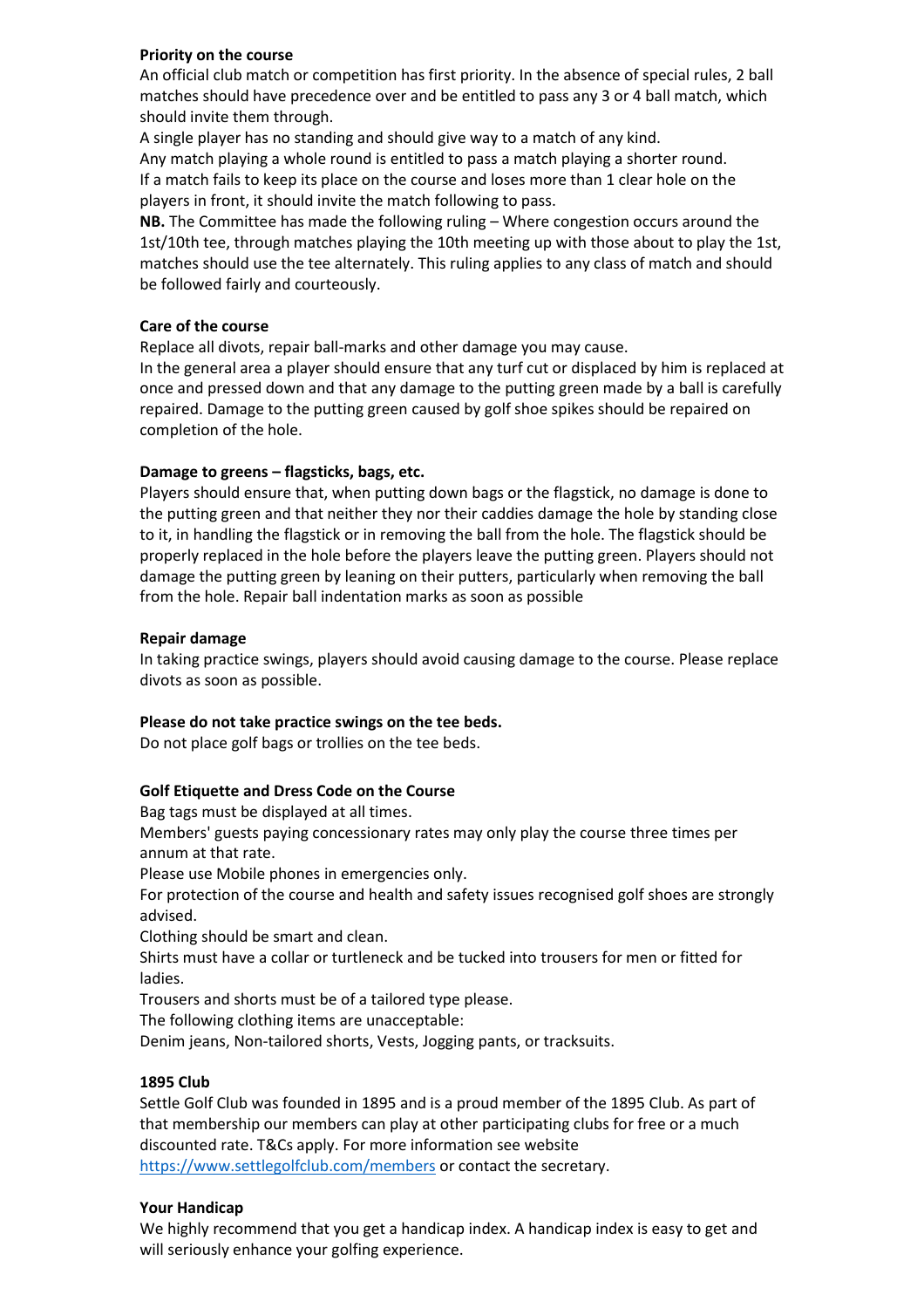# **Priority on the course**

An official club match or competition has first priority. In the absence of special rules, 2 ball matches should have precedence over and be entitled to pass any 3 or 4 ball match, which should invite them through.

A single player has no standing and should give way to a match of any kind.

Any match playing a whole round is entitled to pass a match playing a shorter round. If a match fails to keep its place on the course and loses more than 1 clear hole on the players in front, it should invite the match following to pass.

**NB.** The Committee has made the following ruling – Where congestion occurs around the 1st/10th tee, through matches playing the 10th meeting up with those about to play the 1st, matches should use the tee alternately. This ruling applies to any class of match and should be followed fairly and courteously.

### **Care of the course**

Replace all divots, repair ball-marks and other damage you may cause.

In the general area a player should ensure that any turf cut or displaced by him is replaced at once and pressed down and that any damage to the putting green made by a ball is carefully repaired. Damage to the putting green caused by golf shoe spikes should be repaired on completion of the hole.

# **Damage to greens – flagsticks, bags, etc.**

Players should ensure that, when putting down bags or the flagstick, no damage is done to the putting green and that neither they nor their caddies damage the hole by standing close to it, in handling the flagstick or in removing the ball from the hole. The flagstick should be properly replaced in the hole before the players leave the putting green. Players should not damage the putting green by leaning on their putters, particularly when removing the ball from the hole. Repair ball indentation marks as soon as possible

# **Repair damage**

In taking practice swings, players should avoid causing damage to the course. Please replace divots as soon as possible.

#### **Please do not take practice swings on the tee beds.**

Do not place golf bags or trollies on the tee beds.

# **Golf Etiquette and Dress Code on the Course**

Bag tags must be displayed at all times.

Members' guests paying concessionary rates may only play the course three times per annum at that rate.

Please use Mobile phones in emergencies only.

For protection of the course and health and safety issues recognised golf shoes are strongly advised.

Clothing should be smart and clean.

Shirts must have a collar or turtleneck and be tucked into trousers for men or fitted for ladies.

Trousers and shorts must be of a tailored type please.

The following clothing items are unacceptable:

Denim jeans, Non-tailored shorts, Vests, Jogging pants, or tracksuits.

#### **1895 Club**

Settle Golf Club was founded in 1895 and is a proud member of the 1895 Club. As part of that membership our members can play at other participating clubs for free or a much discounted rate. T&Cs apply. For more information see website <https://www.settlegolfclub.com/members> or contact the secretary.

#### **Your Handicap**

We highly recommend that you get a handicap index. A handicap index is easy to get and will seriously enhance your golfing experience.